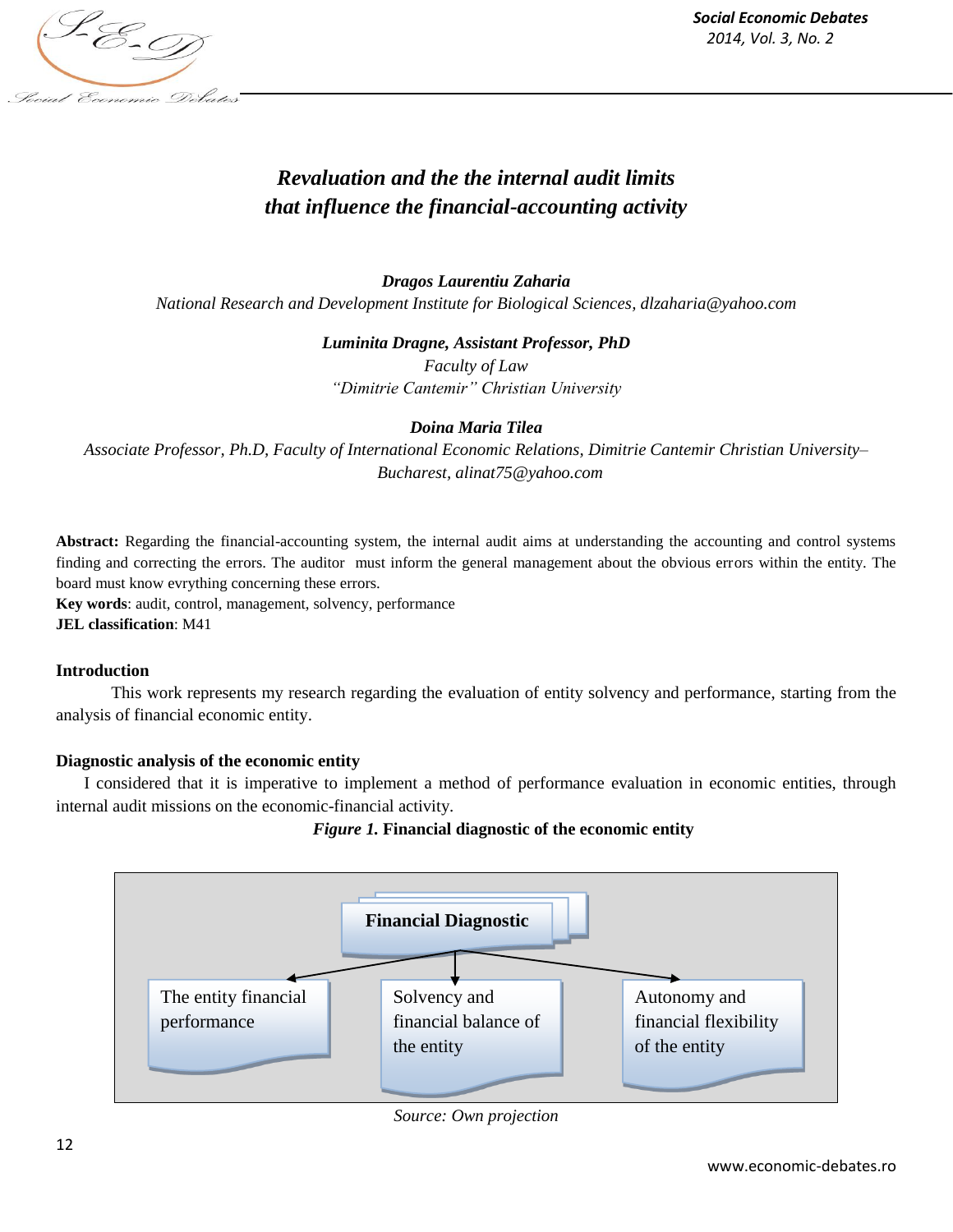

*Social Economic Debates 2014, Vol. 3, No. 2*

# *Revaluation and the the internal audit limits that influence the financial-accounting activity*

*Dragos Laurentiu Zaharia National Research and Development Institute for Biological Sciences, dlzaharia@yahoo.com*

*Luminita Dragne, Assistant Professor, PhD*

*Faculty of Law "Dimitrie Cantemir" Christian University*

## *Doina Maria Tilea*

*Associate Professor, Ph.D, Faculty of International Economic Relations, Dimitrie Cantemir Christian University– Bucharest, alinat75@yahoo.com*

**Abstract:** Regarding the financial-accounting system, the internal audit aims at understanding the accounting and control systems finding and correcting the errors. The auditor must inform the general management about the obvious errors within the entity. The board must know evrything concerning these errors.

**Key words**: audit, control, management, solvency, performance **JEL classification**: M41

## **Introduction**

This work represents my research regarding the evaluation of entity solvency and performance, starting from the analysis of financial economic entity.

## **Diagnostic analysis of the economic entity**

I considered that it is imperative to implement a method of performance evaluation in economic entities, through internal audit missions on the economic-financial activity.

# *Figure 1.* **Financial diagnostic of the economic entity**



*Source: Own projection*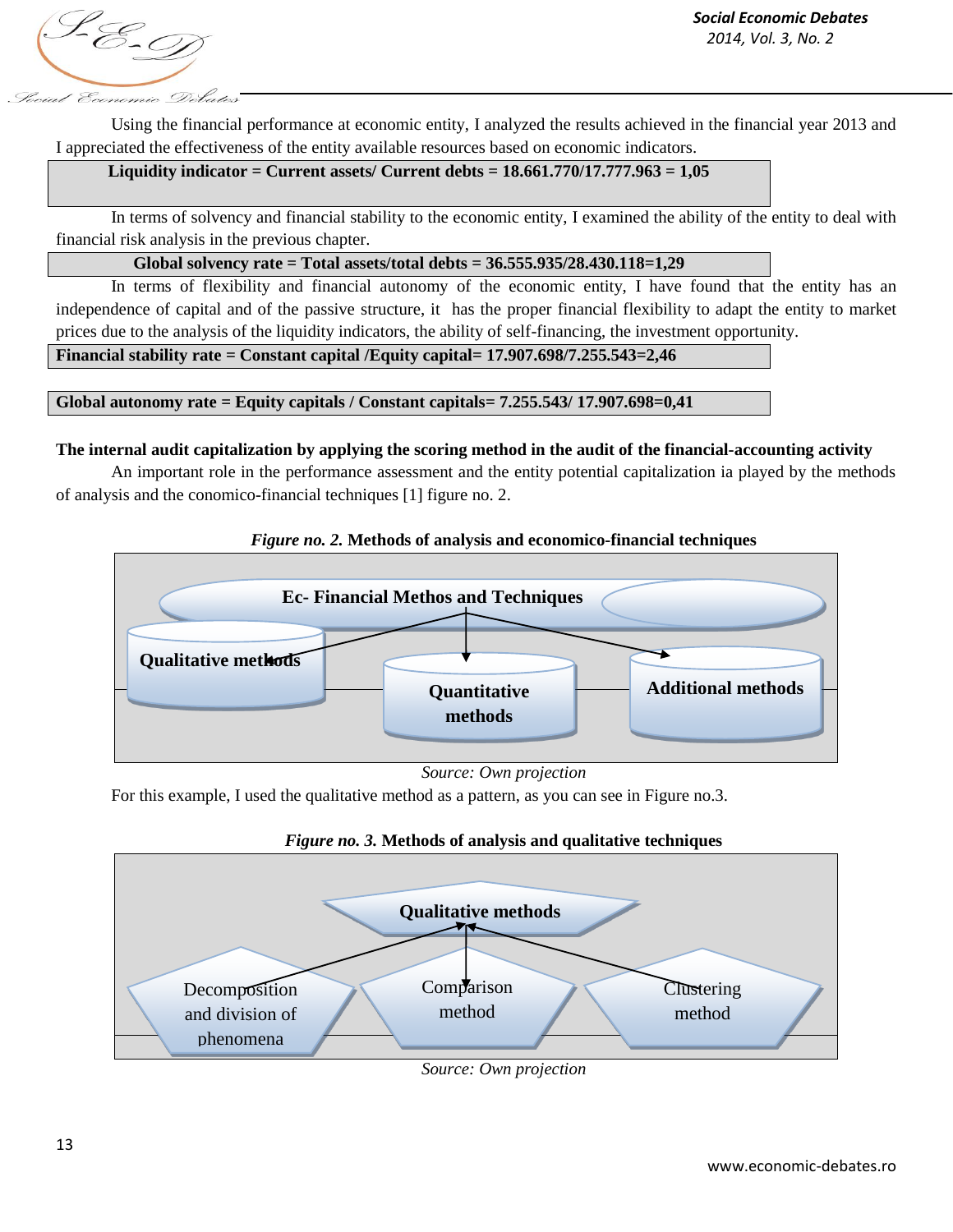S-E-D focial Economic Debates

Using the financial performance at economic entity, I analyzed the results achieved in the financial year 2013 and I appreciated the effectiveness of the entity available resources based on economic indicators.

# **Liquidity indicator = Current assets/ Current debts = 18.661.770/17.777.963 = 1,05**

In terms of solvency and financial stability to the economic entity, I examined the ability of the entity to deal with financial risk analysis in the previous chapter.

## **Global solvency rate = Total assets/total debts = 36.555.935/28.430.118=1,29**

In terms of flexibility and financial autonomy of the economic entity. I have found that the entity has an independence of capital and of the passive structure, it has the proper financial flexibility to adapt the entity to market prices due to the analysis of the liquidity indicators, the ability of self-financing, the investment opportunity.

**Financial stability rate = Constant capital /Equity capital= 17.907.698/7.255.543=2,46**

## **Global autonomy rate = Equity capitals / Constant capitals= 7.255.543/ 17.907.698=0,41**

## **The internal audit capitalization by applying the scoring method in the audit of the financial-accounting activity**

An important role in the performance assessment and the entity potential capitalization ia played by the methods of analysis and the conomico-financial techniques [1] figure no. 2.



# *Figure no. 2.* **Methods of analysis and economico-financial techniques**

*Source: Own projection*

For this example, I used the qualitative method as a pattern, as you can see in Figure no.3.



*Figure no. 3.* **Methods of analysis and qualitative techniques** 

*Source: Own projection*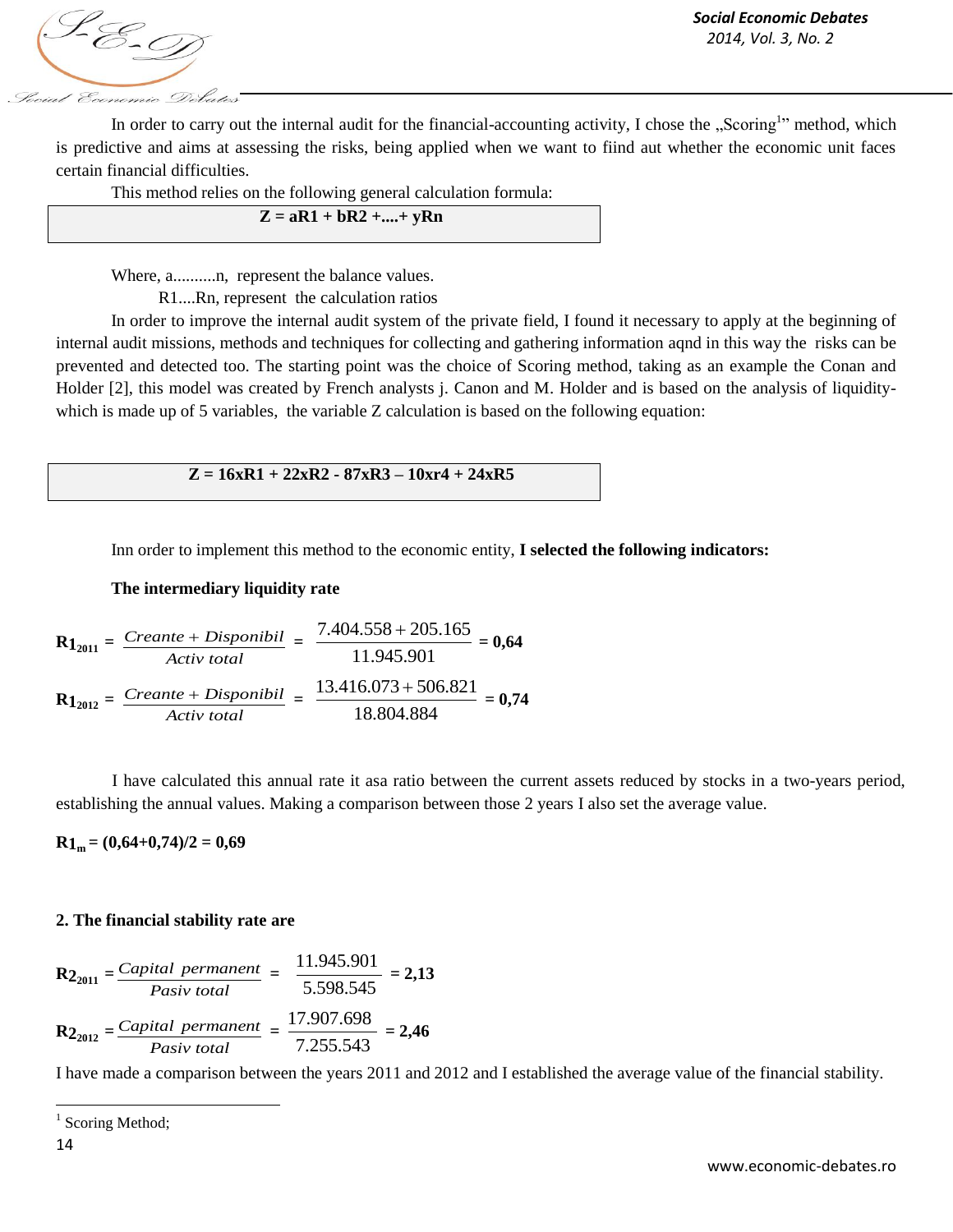1-E-0 focial Economic Debates

*Social Economic Debates 2014, Vol. 3, No. 2*

In order to carry out the internal audit for the financial-accounting activity, I chose the "Scoring<sup>1</sup>" method, which is predictive and aims at assessing the risks, being applied when we want to fiind aut whether the economic unit faces certain financial difficulties.

This method relies on the following general calculation formula:

| $Z = aR1 + bR2 +  + yRn$ |
|--------------------------|
|--------------------------|

Where, a..........n, represent the balance values.

R1....Rn, represent the calculation ratios

In order to improve the internal audit system of the private field, I found it necessary to apply at the beginning of internal audit missions, methods and techniques for collecting and gathering information aqnd in this way the risks can be prevented and detected too. The starting point was the choice of Scoring method, taking as an example the Conan and Holder [2], this model was created by French analysts j. Canon and M. Holder and is based on the analysis of liquiditywhich is made up of 5 variables, the variable Z calculation is based on the following equation:

**Z = 16xR1 + 22xR2 - 87xR3 – 10xr4 + 24xR5**

Inn order to implement this method to the economic entity, **I selected the following indicators:** 

#### **The intermediary liquidity rate**

$$
R1_{2011} = \frac{Create + Disponibil}{Activ \ total} = \frac{7.404.558 + 205.165}{11.945.901} = 0,64
$$
  

$$
R1_{2012} = \frac{Create + Disponibil}{Activ \ total} = \frac{13.416.073 + 506.821}{18.804.884} = 0,74
$$

I have calculated this annual rate it asa ratio between the current assets reduced by stocks in a two-years period, establishing the annual values. Making a comparison between those 2 years I also set the average value.

 $R1_m = (0.64+0.74)/2 = 0.69$ 

## **2. The financial stability rate are**

$$
R2_{2011} = \frac{Capital\ permanent\ Pastiv\ total} = \frac{11.945.901}{5.598.545} = 2,13
$$
\n
$$
R2_{2012} = \frac{Capital\ permanent\ Pastiv\ total} = \frac{17.907.698}{7.255.543} = 2,46
$$

I have made a comparison between the years 2011 and 2012 and I established the average value of the financial stability.

 $\overline{\phantom{a}}$ 

<sup>&</sup>lt;sup>1</sup> Scoring Method;

<sup>14</sup>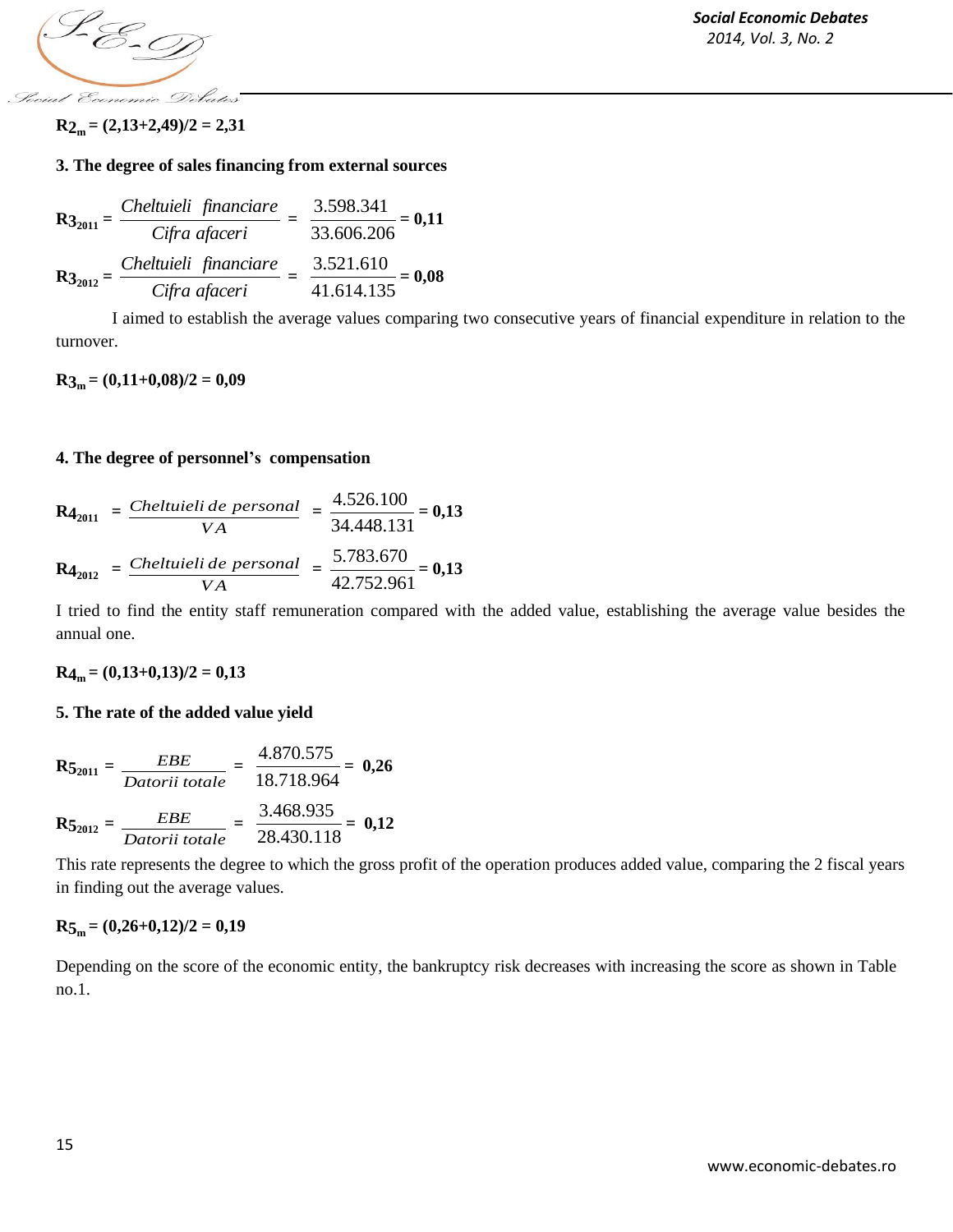S-E-D Social Economic Debates

 $R_{2m} = (2,13+2,49)/2 = 2,31$ 

## **3. The degree of sales financing from external sources**

$$
R3_{2011} = \frac{Cheltuieli financiare}{Cifra afaceri} = \frac{3.598.341}{33.606.206} = 0,11
$$
  

$$
R3_{2012} = \frac{Cheltuieli financiare}{Cifra afaceri} = \frac{3.521.610}{41.614.135} = 0,08
$$

I aimed to establish the average values comparing two consecutive years of financial expenditure in relation to the turnover.

## $R3_m = (0,11+0,08)/2 = 0,09$

## **4. The degree of personnel's compensation**

$$
R4_{2011} = \frac{Cheltuieli de personal}{VA} = \frac{4.526.100}{34.448.131} = 0,13
$$
  

$$
R4_{2012} = \frac{Cheltuieli de personal}{VA} = \frac{5.783.670}{42.752.961} = 0,13
$$

I tried to find the entity staff remuneration compared with the added value, establishing the average value besides the annual one.

 $R4_m = (0,13+0,13)/2 = 0,13$ 

## **5. The rate of the added value yield**

$$
\mathbf{R5}_{2011} = \frac{EBE}{Datorii\ totale} = \frac{4.870.575}{18.718.964} = \mathbf{0.26}
$$
\n
$$
\mathbf{R5}_{2012} = \frac{EBE}{Datorii\ totale} = \frac{3.468.935}{28.430.118} = \mathbf{0.12}
$$

This rate represents the degree to which the gross profit of the operation produces added value, comparing the 2 fiscal years in finding out the average values.

## $R_{5m} = (0,26+0,12)/2 = 0,19$

Depending on the score of the economic entity, the bankruptcy risk decreases with increasing the score as shown in Table no.1.